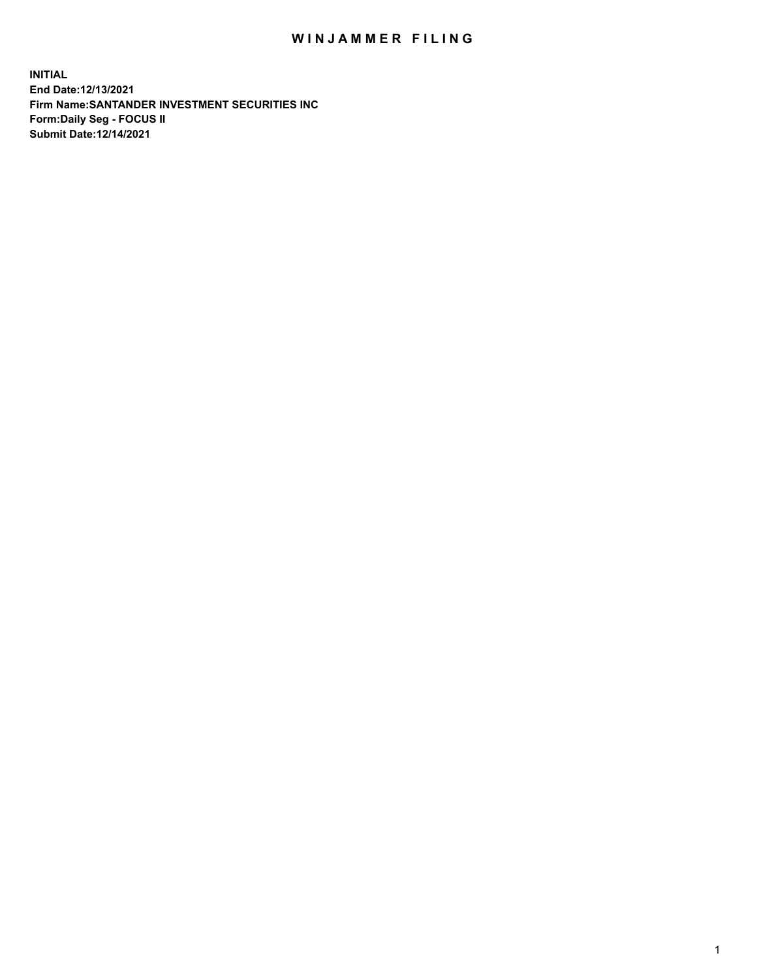## WIN JAMMER FILING

**INITIAL End Date:12/13/2021 Firm Name:SANTANDER INVESTMENT SECURITIES INC Form:Daily Seg - FOCUS II Submit Date:12/14/2021**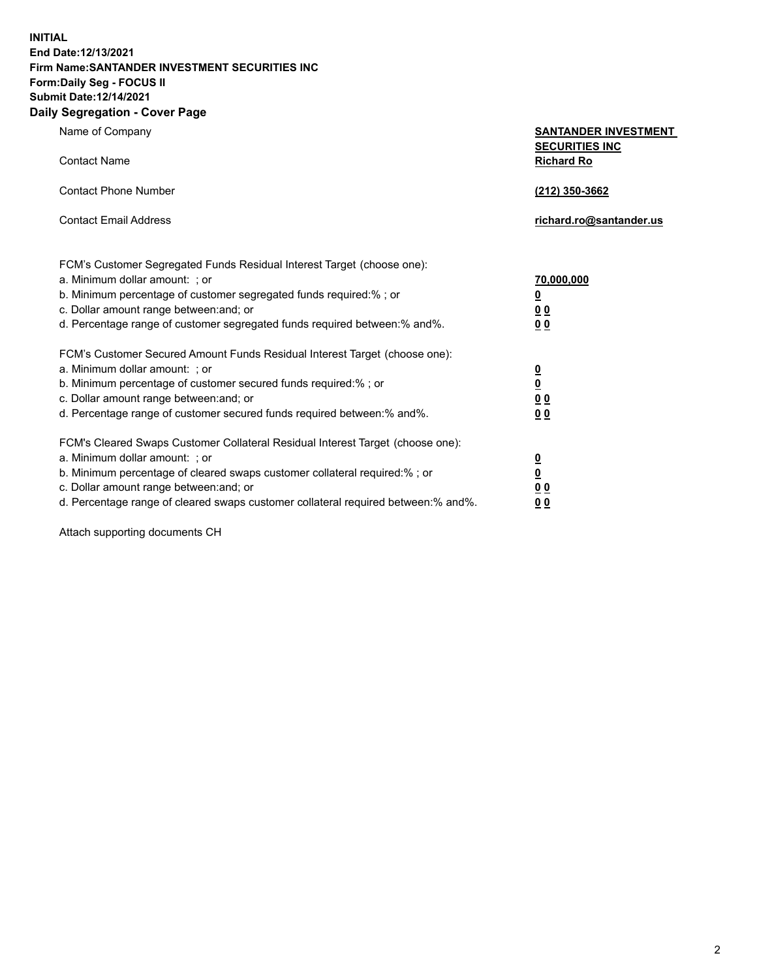## **INITIAL End Date:12/13/2021 Firm Name:SANTANDER INVESTMENT SECURITIES INC Form:Daily Seg - FOCUS II Submit Date:12/14/2021 Daily Segregation - Cover Page**

| Name of Company                                                                                                                                                                                                                                                                                                                | <b>SANTANDER INVESTMENT</b>                                                             |
|--------------------------------------------------------------------------------------------------------------------------------------------------------------------------------------------------------------------------------------------------------------------------------------------------------------------------------|-----------------------------------------------------------------------------------------|
| <b>Contact Name</b>                                                                                                                                                                                                                                                                                                            | <b>SECURITIES INC</b><br><b>Richard Ro</b>                                              |
| <b>Contact Phone Number</b>                                                                                                                                                                                                                                                                                                    | (212) 350-3662                                                                          |
| <b>Contact Email Address</b>                                                                                                                                                                                                                                                                                                   | richard.ro@santander.us                                                                 |
| FCM's Customer Segregated Funds Residual Interest Target (choose one):<br>a. Minimum dollar amount: : or<br>b. Minimum percentage of customer segregated funds required:% ; or<br>c. Dollar amount range between: and; or<br>d. Percentage range of customer segregated funds required between:% and%.                         | 70,000,000<br>$\underline{\mathbf{0}}$<br>0 <sub>0</sub><br>0 <sub>0</sub>              |
| FCM's Customer Secured Amount Funds Residual Interest Target (choose one):<br>a. Minimum dollar amount: ; or<br>b. Minimum percentage of customer secured funds required:%; or<br>c. Dollar amount range between: and; or<br>d. Percentage range of customer secured funds required between:% and%.                            | $\frac{\frac{0}{0}}{\frac{0}{0}}$<br>0 <sub>0</sub>                                     |
| FCM's Cleared Swaps Customer Collateral Residual Interest Target (choose one):<br>a. Minimum dollar amount: : or<br>b. Minimum percentage of cleared swaps customer collateral required:% ; or<br>c. Dollar amount range between: and; or<br>d. Percentage range of cleared swaps customer collateral required between:% and%. | $\overline{\mathbf{0}}$<br>$\underline{\mathbf{0}}$<br>0 <sub>0</sub><br>0 <sub>0</sub> |

Attach supporting documents CH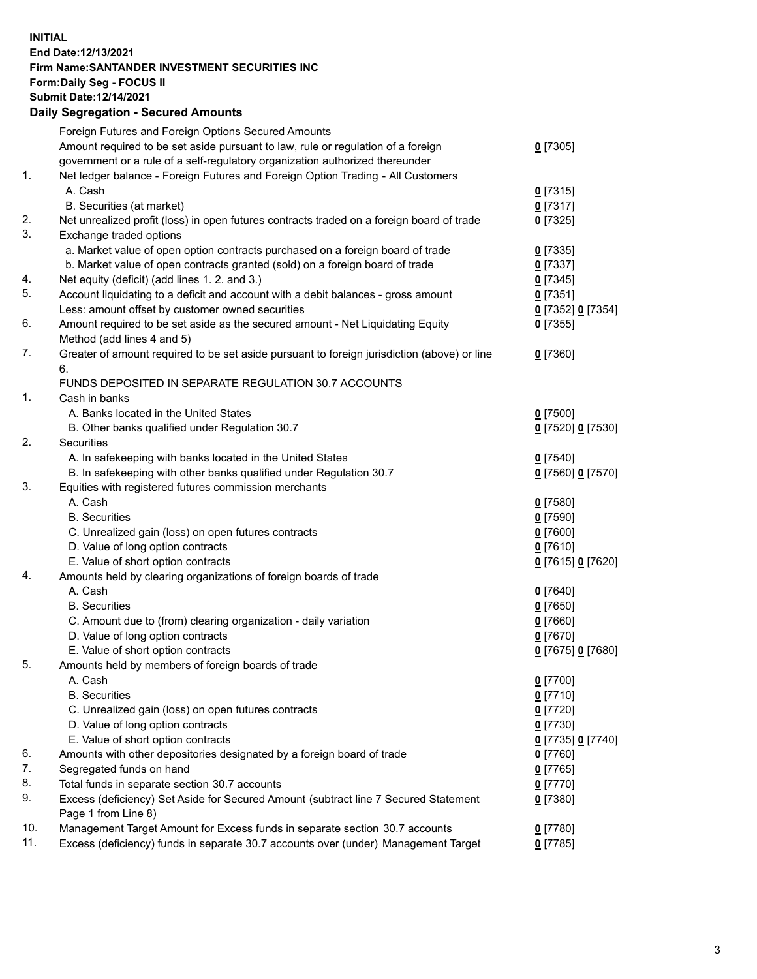## **INITIAL End Date:12/13/2021 Firm Name:SANTANDER INVESTMENT SECURITIES INC Form:Daily Seg - FOCUS II Submit Date:12/14/2021 Daily Segregation - Secured Amounts**

|     | Foreign Futures and Foreign Options Secured Amounts                                         |                   |
|-----|---------------------------------------------------------------------------------------------|-------------------|
|     | Amount required to be set aside pursuant to law, rule or regulation of a foreign            | $0$ [7305]        |
|     | government or a rule of a self-regulatory organization authorized thereunder                |                   |
| 1.  | Net ledger balance - Foreign Futures and Foreign Option Trading - All Customers             |                   |
|     | A. Cash                                                                                     | $0$ [7315]        |
|     | B. Securities (at market)                                                                   | $0$ [7317]        |
| 2.  | Net unrealized profit (loss) in open futures contracts traded on a foreign board of trade   | $0$ [7325]        |
| 3.  | Exchange traded options                                                                     |                   |
|     | a. Market value of open option contracts purchased on a foreign board of trade              | $0$ [7335]        |
|     | b. Market value of open contracts granted (sold) on a foreign board of trade                | $0$ [7337]        |
| 4.  | Net equity (deficit) (add lines 1.2. and 3.)                                                | $0$ [7345]        |
| 5.  | Account liquidating to a deficit and account with a debit balances - gross amount           | $0$ [7351]        |
|     | Less: amount offset by customer owned securities                                            | 0 [7352] 0 [7354] |
| 6.  | Amount required to be set aside as the secured amount - Net Liquidating Equity              | $0$ [7355]        |
|     | Method (add lines 4 and 5)                                                                  |                   |
| 7.  | Greater of amount required to be set aside pursuant to foreign jurisdiction (above) or line | $0$ [7360]        |
|     | 6.                                                                                          |                   |
|     | FUNDS DEPOSITED IN SEPARATE REGULATION 30.7 ACCOUNTS                                        |                   |
| 1.  | Cash in banks                                                                               |                   |
|     | A. Banks located in the United States                                                       | $0$ [7500]        |
|     | B. Other banks qualified under Regulation 30.7                                              | 0 [7520] 0 [7530] |
| 2.  | Securities                                                                                  |                   |
|     | A. In safekeeping with banks located in the United States                                   | $0$ [7540]        |
|     | B. In safekeeping with other banks qualified under Regulation 30.7                          | 0 [7560] 0 [7570] |
| 3.  | Equities with registered futures commission merchants                                       |                   |
|     | A. Cash                                                                                     | $0$ [7580]        |
|     | <b>B.</b> Securities                                                                        | $0$ [7590]        |
|     | C. Unrealized gain (loss) on open futures contracts                                         | $0$ [7600]        |
|     | D. Value of long option contracts                                                           | $0$ [7610]        |
|     | E. Value of short option contracts                                                          | 0 [7615] 0 [7620] |
| 4.  | Amounts held by clearing organizations of foreign boards of trade                           |                   |
|     | A. Cash                                                                                     | $0$ [7640]        |
|     | <b>B.</b> Securities                                                                        | $0$ [7650]        |
|     | C. Amount due to (from) clearing organization - daily variation                             | $0$ [7660]        |
|     | D. Value of long option contracts                                                           | $0$ [7670]        |
|     | E. Value of short option contracts                                                          | 0 [7675] 0 [7680] |
| 5.  | Amounts held by members of foreign boards of trade                                          |                   |
|     | A. Cash                                                                                     | $0$ [7700]        |
|     | <b>B.</b> Securities                                                                        | $0$ [7710]        |
|     | C. Unrealized gain (loss) on open futures contracts                                         | $0$ [7720]        |
|     | D. Value of long option contracts                                                           | $0$ [7730]        |
|     | E. Value of short option contracts                                                          | 0 [7735] 0 [7740] |
| 6.  | Amounts with other depositories designated by a foreign board of trade                      | $0$ [7760]        |
| 7.  | Segregated funds on hand                                                                    | $0$ [7765]        |
| 8.  | Total funds in separate section 30.7 accounts                                               | $0$ [7770]        |
| 9.  | Excess (deficiency) Set Aside for Secured Amount (subtract line 7 Secured Statement         | $0$ [7380]        |
|     | Page 1 from Line 8)                                                                         |                   |
| 10. | Management Target Amount for Excess funds in separate section 30.7 accounts                 | $0$ [7780]        |
| 11. | Excess (deficiency) funds in separate 30.7 accounts over (under) Management Target          | $0$ [7785]        |
|     |                                                                                             |                   |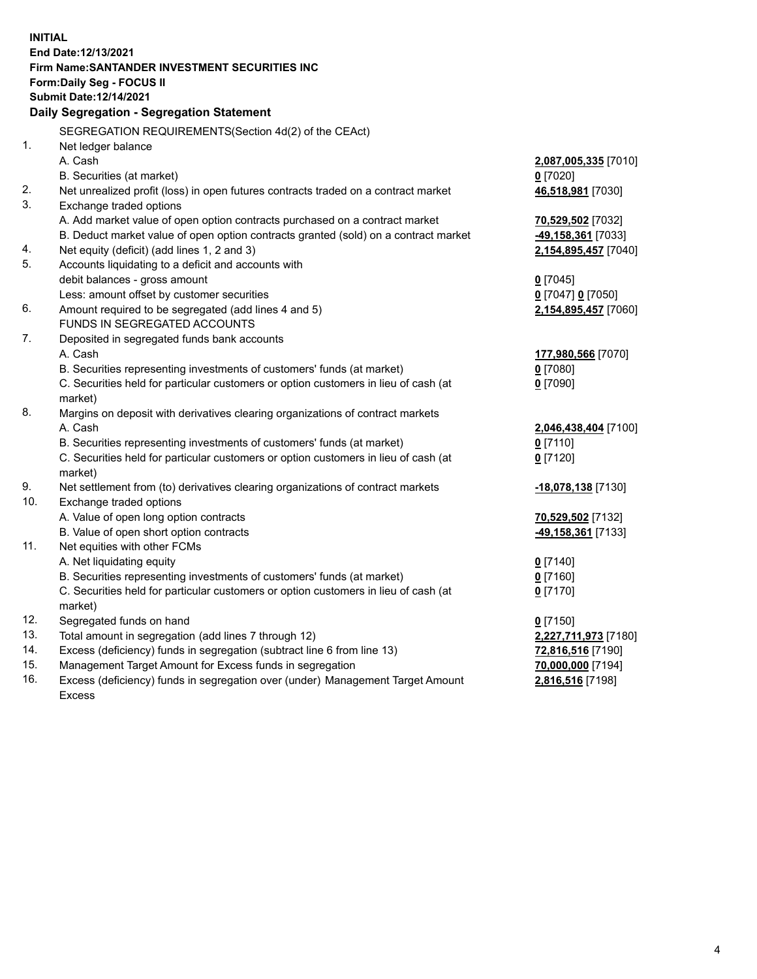| <b>INITIAL</b> |                                                                                                                                                               |                      |
|----------------|---------------------------------------------------------------------------------------------------------------------------------------------------------------|----------------------|
|                | End Date:12/13/2021                                                                                                                                           |                      |
|                | Firm Name: SANTANDER INVESTMENT SECURITIES INC                                                                                                                |                      |
|                | Form: Daily Seg - FOCUS II                                                                                                                                    |                      |
|                | Submit Date:12/14/2021                                                                                                                                        |                      |
|                | Daily Segregation - Segregation Statement                                                                                                                     |                      |
|                | SEGREGATION REQUIREMENTS(Section 4d(2) of the CEAct)                                                                                                          |                      |
| 1.             | Net ledger balance                                                                                                                                            |                      |
|                | A. Cash                                                                                                                                                       | 2,087,005,335 [7010] |
|                | B. Securities (at market)                                                                                                                                     | $0$ [7020]           |
| 2.             | Net unrealized profit (loss) in open futures contracts traded on a contract market                                                                            | 46,518,981 [7030]    |
| 3.             | Exchange traded options                                                                                                                                       |                      |
|                | A. Add market value of open option contracts purchased on a contract market                                                                                   | 70,529,502 [7032]    |
|                | B. Deduct market value of open option contracts granted (sold) on a contract market                                                                           | 49,158,361 [7033]    |
| 4.             | Net equity (deficit) (add lines 1, 2 and 3)                                                                                                                   | 2,154,895,457 [7040] |
| 5.             | Accounts liquidating to a deficit and accounts with                                                                                                           |                      |
|                | debit balances - gross amount                                                                                                                                 | $0$ [7045]           |
|                | Less: amount offset by customer securities                                                                                                                    | 0 [7047] 0 [7050]    |
| 6.             | Amount required to be segregated (add lines 4 and 5)                                                                                                          | 2,154,895,457 [7060] |
|                | FUNDS IN SEGREGATED ACCOUNTS                                                                                                                                  |                      |
| 7.             | Deposited in segregated funds bank accounts                                                                                                                   |                      |
|                | A. Cash                                                                                                                                                       | 177,980,566 [7070]   |
|                | B. Securities representing investments of customers' funds (at market)                                                                                        | $0$ [7080]           |
|                | C. Securities held for particular customers or option customers in lieu of cash (at                                                                           | $0$ [7090]           |
|                | market)                                                                                                                                                       |                      |
| 8.             | Margins on deposit with derivatives clearing organizations of contract markets                                                                                |                      |
|                | A. Cash                                                                                                                                                       | 2,046,438,404 [7100] |
|                | B. Securities representing investments of customers' funds (at market)                                                                                        | $0$ [7110]           |
|                | C. Securities held for particular customers or option customers in lieu of cash (at                                                                           | $0$ [7120]           |
|                | market)                                                                                                                                                       |                      |
| 9.             | Net settlement from (to) derivatives clearing organizations of contract markets                                                                               | -18,078,138 [7130]   |
| 10.            | Exchange traded options                                                                                                                                       |                      |
|                | A. Value of open long option contracts                                                                                                                        | 70,529,502 [7132]    |
|                | B. Value of open short option contracts                                                                                                                       | -49,158,361 [7133]   |
| 11.            | Net equities with other FCMs                                                                                                                                  |                      |
|                | A. Net liquidating equity                                                                                                                                     | $0$ [7140]           |
|                | B. Securities representing investments of customers' funds (at market)<br>C. Securities held for particular customers or option customers in lieu of cash (at | $0$ [7160]           |
|                | market)                                                                                                                                                       | $0$ [7170]           |
| 12.            | Segregated funds on hand                                                                                                                                      | $0$ [7150]           |
| 13.            | Total amount in segregation (add lines 7 through 12)                                                                                                          | 2,227,711,973 [7180] |
| 14.            | Excess (deficiency) funds in segregation (subtract line 6 from line 13)                                                                                       | 72,816,516 [7190]    |
| 15.            | Management Target Amount for Excess funds in segregation                                                                                                      | 70,000,000 [7194]    |
| 16.            | Excess (deficiency) funds in segregation over (under) Management Target Amount                                                                                | 2,816,516 [7198]     |
|                | <b>Excess</b>                                                                                                                                                 |                      |